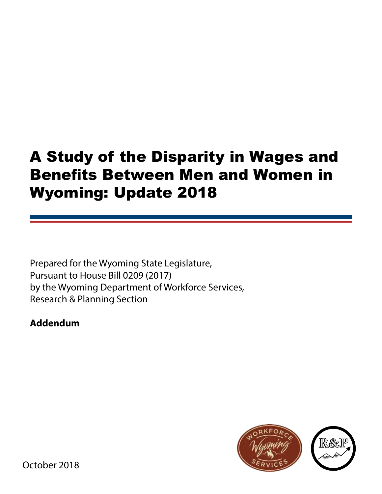# A Study of the Disparity in Wages and Benefits Between Men and Women in Wyoming: Update 2018

Prepared for the Wyoming State Legislature, Pursuant to House Bill 0209 (2017) by the Wyoming Department of Workforce Services, Research & Planning Section

**Addendum**

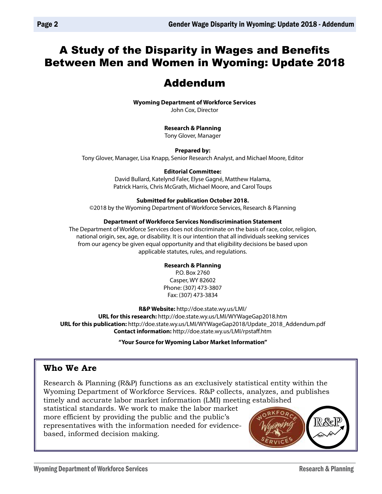## A Study of the Disparity in Wages and Benefits Between Men and Women in Wyoming: Update 2018

## Addendum

**Wyoming Department of Workforce Services** John Cox, Director

#### **Research & Planning**

Tony Glover, Manager

#### **Prepared by:**

Tony Glover, Manager, Lisa Knapp, Senior Research Analyst, and Michael Moore, Editor

#### **Editorial Committee:**

David Bullard, Katelynd Faler, Elyse Gagné, Matthew Halama, Patrick Harris, Chris McGrath, Michael Moore, and Carol Toups

#### **Submitted for publication October 2018.**

©2018 by the Wyoming Department of Workforce Services, Research & Planning

#### **Department of Workforce Services Nondiscrimination Statement**

The Department of Workforce Services does not discriminate on the basis of race, color, religion, national origin, sex, age, or disability. It is our intention that all individuals seeking services from our agency be given equal opportunity and that eligibility decisions be based upon applicable statutes, rules, and regulations.

#### **Research & Planning**

P.O. Box 2760 Casper, WY 82602 Phone: (307) 473-3807 Fax: (307) 473-3834

**R&P Website:** http://doe.state.wy.us/LMI/ **URL for this research:** http://doe.state.wy.us/LMI/WYWageGap2018.htm URL for this publication: http://doe.state.wy.us/LMI/WYWageGap2018/Update\_2018\_Addendum.pdf **Contact information:** http://doe.state.wy.us/LMI/rpstaff.htm

#### **"Your Source for Wyoming Labor Market Information"**

### **Who We Are**

Research & Planning (R&P) functions as an exclusively statistical entity within the Wyoming Department of Workforce Services. R&P collects, analyzes, and publishes timely and accurate labor market information (LMI) meeting established

statistical standards. We work to make the labor market more efficient by providing the public and the public's representatives with the information needed for evidencebased, informed decision making.

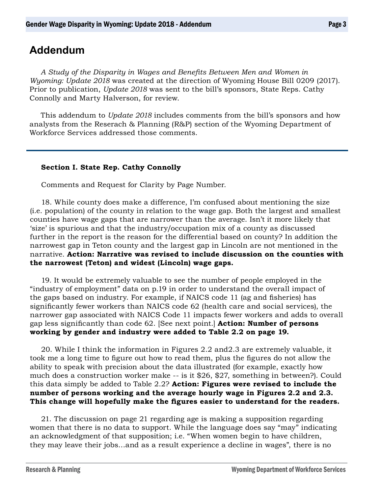### **Addendum**

*A Study of the Disparity in Wages and Benefits Between Men and Women in Wyoming: Update 2018* was created at the direction of Wyoming House Bill 0209 (2017). Prior to publication, *Update 2018* was sent to the bill's sponsors, State Reps. Cathy Connolly and Marty Halverson, for review.

This addendum to *Update 2018* includes comments from the bill's sponsors and how analysts from the Reserach & Planning (R&P) section of the Wyoming Department of Workforce Services addressed those comments.

#### **Section I. State Rep. Cathy Connolly**

Comments and Request for Clarity by Page Number.

18. While county does make a difference, I'm confused about mentioning the size (i.e. population) of the county in relation to the wage gap. Both the largest and smallest counties have wage gaps that are narrower than the average. Isn't it more likely that 'size' is spurious and that the industry/occupation mix of a county as discussed further in the report is the reason for the differential based on county? In addition the narrowest gap in Teton county and the largest gap in Lincoln are not mentioned in the narrative. **Action: Narrative was revised to include discussion on the counties with the narrowest (Teton) and widest (Lincoln) wage gaps.** 

19. It would be extremely valuable to see the number of people employed in the "industry of employment" data on p.19 in order to understand the overall impact of the gaps based on industry. For example, if NAICS code 11 (ag and fisheries) has significantly fewer workers than NAICS code 62 (health care and social services), the narrower gap associated with NAICS Code 11 impacts fewer workers and adds to overall gap less significantly than code 62. [See next point.] **Action: Number of persons working by gender and industry were added to Table 2.2 on page 19.** 

20. While I think the information in Figures 2.2 and2.3 are extremely valuable, it took me a long time to figure out how to read them, plus the figures do not allow the ability to speak with precision about the data illustrated (for example, exactly how much does a construction worker make -- is it \$26, \$27, something in between?). Could this data simply be added to Table 2.2? **Action: Figures were revised to include the number of persons working and the average hourly wage in Figures 2.2 and 2.3. This change will hopefully make the figures easier to understand for the readers.** 

21. The discussion on page 21 regarding age is making a supposition regarding women that there is no data to support. While the language does say "may" indicating an acknowledgment of that supposition; i.e. "When women begin to have children, they may leave their jobs…and as a result experience a decline in wages", there is no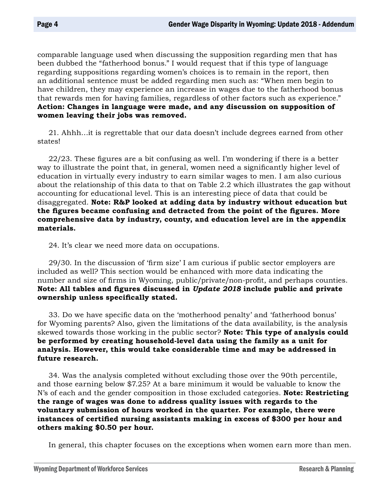comparable language used when discussing the supposition regarding men that has been dubbed the "fatherhood bonus." I would request that if this type of language regarding suppositions regarding women's choices is to remain in the report, then an additional sentence must be added regarding men such as: "When men begin to have children, they may experience an increase in wages due to the fatherhood bonus that rewards men for having families, regardless of other factors such as experience." **Action: Changes in language were made, and any discussion on supposition of women leaving their jobs was removed.** 

21. Ahhh…it is regrettable that our data doesn't include degrees earned from other states!

22/23. These figures are a bit confusing as well. I'm wondering if there is a better way to illustrate the point that, in general, women need a significantly higher level of education in virtually every industry to earn similar wages to men. I am also curious about the relationship of this data to that on Table 2.2 which illustrates the gap without accounting for educational level. This is an interesting piece of data that could be disaggregated. **Note: R&P looked at adding data by industry without education but the figures became confusing and detracted from the point of the figures. More comprehensive data by industry, county, and education level are in the appendix materials.**

24. It's clear we need more data on occupations.

29/30. In the discussion of 'firm size' I am curious if public sector employers are included as well? This section would be enhanced with more data indicating the number and size of firms in Wyoming, public/private/non-profit, and perhaps counties. **Note: All tables and figures discussed in** *Update 2018* **include public and private ownership unless specifically stated.** 

33. Do we have specific data on the 'motherhood penalty' and 'fatherhood bonus' for Wyoming parents? Also, given the limitations of the data availability, is the analysis skewed towards those working in the public sector? **Note: This type of analysis could be performed by creating household-level data using the family as a unit for analysis. However, this would take considerable time and may be addressed in future research.** 

34. Was the analysis completed without excluding those over the 90th percentile, and those earning below \$7.25? At a bare minimum it would be valuable to know the N's of each and the gender composition in those excluded categories. **Note: Restricting the range of wages was done to address quality issues with regards to the voluntary submission of hours worked in the quarter. For example, there were instances of certified nursing assistants making in excess of \$300 per hour and others making \$0.50 per hour.**

In general, this chapter focuses on the exceptions when women earn more than men.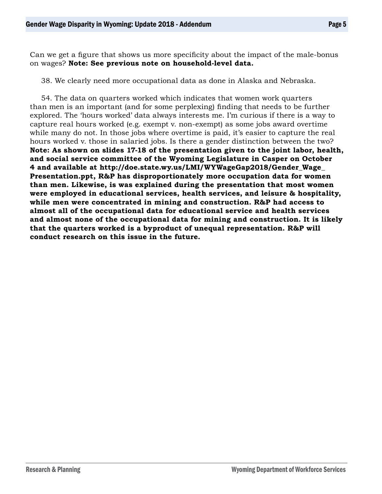Can we get a figure that shows us more specificity about the impact of the male-bonus on wages? **Note: See previous note on household-level data.** 

38. We clearly need more occupational data as done in Alaska and Nebraska.

54. The data on quarters worked which indicates that women work quarters than men is an important (and for some perplexing) finding that needs to be further explored. The 'hours worked' data always interests me. I'm curious if there is a way to capture real hours worked (e.g. exempt v. non-exempt) as some jobs award overtime while many do not. In those jobs where overtime is paid, it's easier to capture the real hours worked v. those in salaried jobs. Is there a gender distinction between the two? **Note: As shown on slides 17-18 of the presentation given to the joint labor, health, and social service committee of the Wyoming Legislature in Casper on October 4 and available at http://doe.state.wy.us/LMI/WYWageGap2018/Gender\_Wage\_ Presentation.ppt, R&P has disproportionately more occupation data for women than men. Likewise, is was explained during the presentation that most women were employed in educational services, health services, and leisure & hospitality, while men were concentrated in mining and construction. R&P had access to almost all of the occupational data for educational service and health services and almost none of the occupational data for mining and construction. It is likely that the quarters worked is a byproduct of unequal representation. R&P will conduct research on this issue in the future.**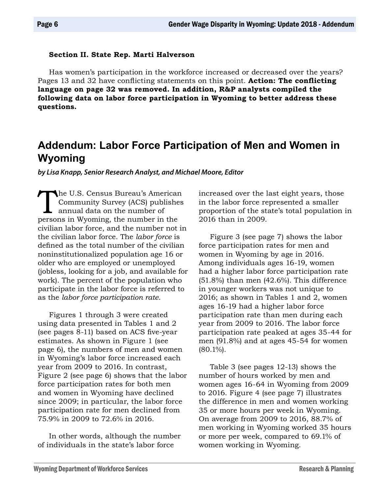#### **Section II. State Rep. Marti Halverson**

Has women's participation in the workforce increased or decreased over the years? Pages 13 and 32 have conflicting statements on this point. **Action: The conflicting language on page 32 was removed. In addition, R&P analysts compiled the following data on labor force participation in Wyoming to better address these questions.** 

### **Addendum: Labor Force Participation of Men and Women in Wyoming**

*by Lisa Knapp, Senior Research Analyst, and Michael Moore, Editor*

The U.S. Census Bureau's American<br>
Community Survey (ACS) publishes<br>
annual data on the number of<br>
persons in Wyoming the number in the Community Survey (ACS) publishes annual data on the number of persons in Wyoming, the number in the civilian labor force, and the number not in the civilian labor force. The *labor force* is defined as the total number of the civilian noninstitutionalized population age 16 or older who are employed or unemployed (jobless, looking for a job, and available for work). The percent of the population who participate in the labor force is referred to as the *labor force participation rate*.

Figures 1 through 3 were created using data presented in Tables 1 and 2 (see pages 8-11) based on ACS five-year estimates. As shown in Figure 1 (see page 6), the numbers of men and women in Wyoming's labor force increased each year from 2009 to 2016. In contrast, Figure 2 (see page 6) shows that the labor force participation rates for both men and women in Wyoming have declined since 2009; in particular, the labor force participation rate for men declined from 75.9% in 2009 to 72.6% in 2016.

In other words, although the number of individuals in the state's labor force

increased over the last eight years, those in the labor force represented a smaller proportion of the state's total population in 2016 than in 2009.

Figure 3 (see page 7) shows the labor force participation rates for men and women in Wyoming by age in 2016. Among individuals ages 16-19, women had a higher labor force participation rate (51.8%) than men (42.6%). This difference in younger workers was not unique to 2016; as shown in Tables 1 and 2, women ages 16-19 had a higher labor force participation rate than men during each year from 2009 to 2016. The labor force participation rate peaked at ages 35-44 for men (91.8%) and at ages 45-54 for women (80.1%).

Table 3 (see pages 12-13) shows the number of hours worked by men and women ages 16-64 in Wyoming from 2009 to 2016. Figure 4 (see page 7) illustrates the difference in men and women working 35 or more hours per week in Wyoming. On average from 2009 to 2016, 88.7% of men working in Wyoming worked 35 hours or more per week, compared to 69.1% of women working in Wyoming.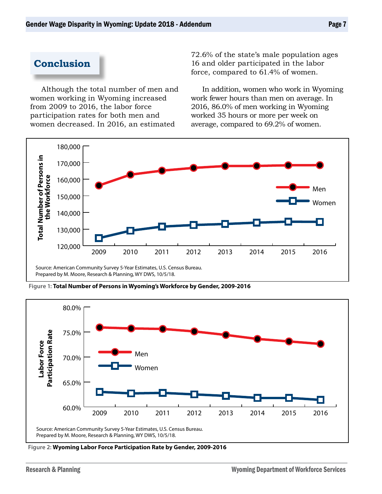### **Conclusion**

Although the total number of men and women working in Wyoming increased from 2009 to 2016, the labor force participation rates for both men and women decreased. In 2016, an estimated

72.6% of the state's male population ages 16 and older participated in the labor force, compared to 61.4% of women.

In addition, women who work in Wyoming work fewer hours than men on average. In 2016, 86.0% of men working in Wyoming worked 35 hours or more per week on average, compared to 69.2% of women.



**Figure 1: Total Number of Persons in Wyoming's Workforce by Gender, 2009-2016**



**Figure 2: Wyoming Labor Force Participation Rate by Gender, 2009-2016**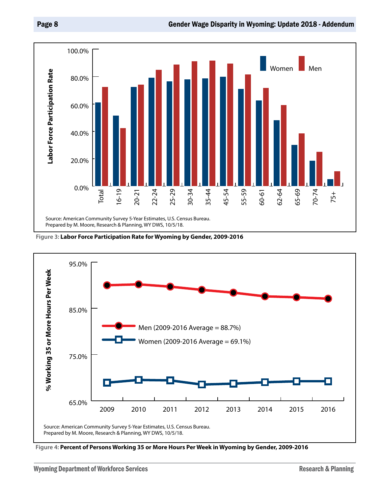

**Figure 3: Labor Force Participation Rate for Wyoming by Gender, 2009-2016**



**Figure 4: Percent of Persons Working 35 or More Hours Per Week in Wyoming by Gender, 2009-2016**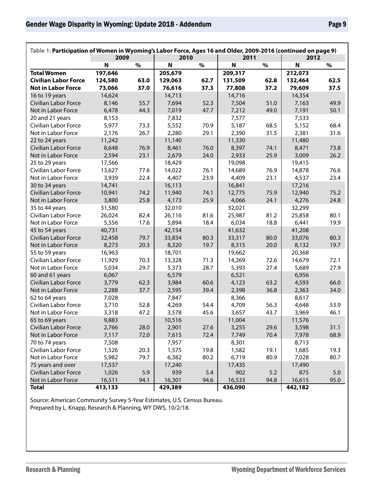|                             | Table 1: Participation of Women in Wyoming's Labor Force, Ages 16 and Older, 2009-2016 (continued on page 9) |      |         |      |         |      |         |      |  |  |
|-----------------------------|--------------------------------------------------------------------------------------------------------------|------|---------|------|---------|------|---------|------|--|--|
|                             | 2009                                                                                                         |      | 2010    |      | 2011    |      | 2012    |      |  |  |
|                             | N                                                                                                            | $\%$ | N       | $\%$ | N       | $\%$ | N       | $\%$ |  |  |
| <b>Total Women</b>          | 197,646                                                                                                      |      | 205,679 |      | 209,317 |      | 212,073 |      |  |  |
| <b>Civilian Labor Force</b> | 124,580                                                                                                      | 63.0 | 129,063 | 62.7 | 131,509 | 62.8 | 132,464 | 62.5 |  |  |
| <b>Not in Labor Force</b>   | 73,066                                                                                                       | 37.0 | 76,616  | 37.3 | 77,808  | 37.2 | 79,609  | 37.5 |  |  |
| 16 to 19 years              | 14,624                                                                                                       |      | 14,713  |      | 14,716  |      | 14,354  |      |  |  |
| Civilian Labor Force        | 8,146                                                                                                        | 55.7 | 7,694   | 52.3 | 7,504   | 51.0 | 7,163   | 49.9 |  |  |
| Not in Labor Force          | 6,478                                                                                                        | 44.3 | 7,019   | 47.7 | 7,212   | 49.0 | 7,191   | 50.1 |  |  |
| 20 and 21 years             | 8,153                                                                                                        |      | 7,832   |      | 7,577   |      | 7,533   |      |  |  |
| Civilian Labor Force        | 5,977                                                                                                        | 73.3 | 5,552   | 70.9 | 5,187   | 68.5 | 5,152   | 68.4 |  |  |
| Not in Labor Force          | 2,176                                                                                                        | 26.7 | 2,280   | 29.1 | 2,390   | 31.5 | 2,381   | 31.6 |  |  |
| 22 to 24 years              | 11,242                                                                                                       |      | 11,140  |      | 11,330  |      | 11,480  |      |  |  |
| Civilian Labor Force        | 8,648                                                                                                        | 76.9 | 8,461   | 76.0 | 8,397   | 74.1 | 8,471   | 73.8 |  |  |
| Not in Labor Force          | 2,594                                                                                                        | 23.1 | 2,679   | 24.0 | 2,933   | 25.9 | 3,009   | 26.2 |  |  |
| 25 to 29 years              | 17,566                                                                                                       |      | 18,429  |      | 19,098  |      | 19,415  |      |  |  |
| Civilian Labor Force        | 13,627                                                                                                       | 77.6 | 14,022  | 76.1 | 14,689  | 76.9 | 14,878  | 76.6 |  |  |
| Not in Labor Force          | 3,939                                                                                                        | 22.4 | 4,407   | 23.9 | 4,409   | 23.1 | 4,537   | 23.4 |  |  |
| 30 to 34 years              | 14,741                                                                                                       |      | 16,113  |      | 16,841  |      | 17,216  |      |  |  |
| Civilian Labor Force        | 10,941                                                                                                       | 74.2 | 11,940  | 74.1 | 12,775  | 75.9 | 12,940  | 75.2 |  |  |
| Not in Labor Force          | 3,800                                                                                                        | 25.8 | 4,173   | 25.9 | 4,066   | 24.1 | 4,276   | 24.8 |  |  |
| 35 to 44 years              | 31,580                                                                                                       |      | 32,010  |      | 32,021  |      | 32,299  |      |  |  |
| Civilian Labor Force        | 26,024                                                                                                       | 82.4 | 26,116  | 81.6 | 25,987  | 81.2 | 25,858  | 80.1 |  |  |
| Not in Labor Force          | 5,556                                                                                                        | 17.6 | 5,894   | 18.4 | 6,034   | 18.8 | 6,441   | 19.9 |  |  |
| 45 to 54 years              | 40,731                                                                                                       |      | 42,154  |      | 41,632  |      | 41,208  |      |  |  |
| Civilian Labor Force        | 32,458                                                                                                       | 79.7 | 33,834  | 80.3 | 33,317  | 80.0 | 33,076  | 80.3 |  |  |
| Not in Labor Force          | 8,273                                                                                                        | 20.3 | 8,320   | 19.7 | 8,315   | 20.0 | 8,132   | 19.7 |  |  |
| 55 to 59 years              | 16,963                                                                                                       |      | 18,701  |      | 19,662  |      | 20,368  |      |  |  |
| Civilian Labor Force        | 11,929                                                                                                       | 70.3 | 13,328  | 71.3 | 14,269  | 72.6 | 14,679  | 72.1 |  |  |
| Not in Labor Force          | 5,034                                                                                                        | 29.7 | 5,373   | 28.7 | 5,393   | 27.4 | 5,689   | 27.9 |  |  |
| 60 and 61 years             | 6,067                                                                                                        |      | 6,579   |      | 6,521   |      | 6,956   |      |  |  |
| Civilian Labor Force        | 3,779                                                                                                        | 62.3 | 3,984   | 60.6 | 4,123   | 63.2 | 4,593   | 66.0 |  |  |
| Not in Labor Force          | 2,288                                                                                                        | 37.7 | 2,595   | 39.4 | 2,398   | 36.8 | 2,363   | 34.0 |  |  |
| 62 to 64 years              | 7,028                                                                                                        |      | 7,847   |      | 8,366   |      | 8,617   |      |  |  |
| Civilian Labor Force        | 3,710                                                                                                        | 52.8 | 4,269   | 54.4 | 4,709   | 56.3 | 4,648   | 53.9 |  |  |
| Not in Labor Force          | 3,318                                                                                                        | 47.2 | 3,578   | 45.6 | 3,657   | 43.7 | 3,969   | 46.1 |  |  |
| 65 to 69 years              | 9,883                                                                                                        |      | 10,516  |      | 11,004  |      | 11,576  |      |  |  |
| Civilian Labor Force        | 2,766                                                                                                        | 28.0 | 2,901   | 27.6 | 3,255   | 29.6 | 3,598   | 31.1 |  |  |
| Not in Labor Force          | 7,117                                                                                                        | 72.0 | 7,615   | 72.4 | 7,749   | 70.4 | 7,978   | 68.9 |  |  |
| 70 to 74 years              | 7,508                                                                                                        |      | 7,957   |      | 8,301   |      | 8,713   |      |  |  |
| Civilian Labor Force        | 1,526                                                                                                        | 20.3 | 1,575   | 19.8 | 1,582   | 19.1 | 1,685   | 19.3 |  |  |
| Not in Labor Force          | 5,982                                                                                                        | 79.7 | 6,382   | 80.2 | 6,719   | 80.9 | 7,028   | 80.7 |  |  |
| 75 years and over           | 17,537                                                                                                       |      | 17,240  |      | 17,435  |      | 17,490  |      |  |  |
| Civilian Labor Force        | 1,026                                                                                                        | 5.9  | 939     | 5.4  | 902     | 5.2  | 875     | 5.0  |  |  |
| Not in Labor Force          | 16,511                                                                                                       | 94.1 | 16,301  | 94.6 | 16,533  | 94.8 | 16,615  | 95.0 |  |  |
| <b>Total</b>                | 413,133                                                                                                      |      | 429,389 |      | 436,090 |      | 442,182 |      |  |  |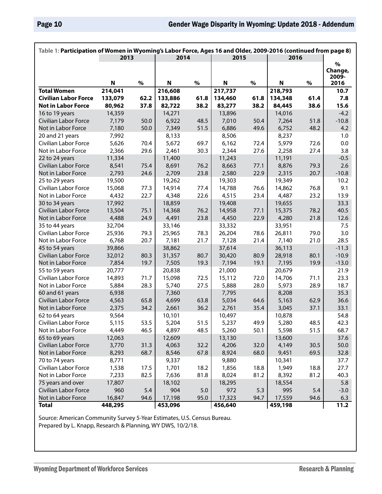| Table 1: Participation of Women in Wyoming's Labor Force, Ages 16 and Older, 2009-2016 (continued from page 8) |         |      |         |      |         |      |         |      |                  |
|----------------------------------------------------------------------------------------------------------------|---------|------|---------|------|---------|------|---------|------|------------------|
|                                                                                                                | 2013    |      | 2014    |      | 2015    |      | 2016    |      |                  |
|                                                                                                                |         |      |         |      |         |      |         |      | $\%$             |
|                                                                                                                |         |      |         |      |         |      |         |      | Change,<br>2009- |
|                                                                                                                | N       | %    | N       | $\%$ | N       | $\%$ | N       | $\%$ | 2016             |
| <b>Total Women</b>                                                                                             | 214,041 |      | 216,608 |      | 217,737 |      | 218,793 |      | 10.7             |
| <b>Civilian Labor Force</b>                                                                                    | 133,079 | 62.2 | 133,886 | 61.8 | 134,460 | 61.8 | 134,348 | 61.4 | 7.8              |
| <b>Not in Labor Force</b>                                                                                      | 80,962  | 37.8 | 82,722  | 38.2 | 83,277  | 38.2 | 84,445  | 38.6 | 15.6             |
| 16 to 19 years                                                                                                 | 14,359  |      | 14,271  |      | 13,896  |      | 14,016  |      | $-4.2$           |
| Civilian Labor Force                                                                                           | 7,179   | 50.0 | 6,922   | 48.5 | 7,010   | 50.4 | 7,264   | 51.8 | $-10.8$          |
| Not in Labor Force                                                                                             | 7,180   | 50.0 | 7,349   | 51.5 | 6,886   | 49.6 | 6,752   | 48.2 | 4.2              |
| 20 and 21 years                                                                                                | 7,992   |      | 8,133   |      | 8,506   |      | 8,237   |      | 1.0              |
| Civilian Labor Force                                                                                           | 5,626   | 70.4 | 5,672   | 69.7 | 6,162   | 72.4 | 5,979   | 72.6 | 0.0              |
| Not in Labor Force                                                                                             | 2,366   | 29.6 | 2,461   | 30.3 | 2,344   | 27.6 | 2,258   | 27.4 | 3.8              |
| 22 to 24 years                                                                                                 | 11,334  |      | 11,400  |      | 11,243  |      | 11,191  |      | $-0.5$           |
| Civilian Labor Force                                                                                           | 8,541   | 75.4 | 8,691   | 76.2 | 8,663   | 77.1 | 8,876   | 79.3 | 2.6              |
| Not in Labor Force                                                                                             | 2,793   | 24.6 | 2,709   | 23.8 | 2,580   | 22.9 | 2,315   | 20.7 | $-10.8$          |
| 25 to 29 years                                                                                                 | 19,500  |      | 19,262  |      | 19,303  |      | 19,349  |      | 10.2             |
| Civilian Labor Force                                                                                           | 15,068  | 77.3 | 14,914  | 77.4 | 14,788  | 76.6 | 14,862  | 76.8 | 9.1              |
| Not in Labor Force                                                                                             | 4,432   | 22.7 | 4,348   | 22.6 | 4,515   | 23.4 | 4,487   | 23.2 | 13.9             |
| 30 to 34 years                                                                                                 | 17,992  |      | 18,859  |      | 19,408  |      | 19,655  |      | 33.3             |
| Civilian Labor Force                                                                                           | 13,504  | 75.1 | 14,368  | 76.2 | 14,958  | 77.1 | 15,375  | 78.2 | 40.5             |
| Not in Labor Force                                                                                             | 4,488   | 24.9 | 4,491   | 23.8 | 4,450   | 22.9 | 4,280   | 21.8 | 12.6             |
| 35 to 44 years                                                                                                 | 32,704  |      | 33,146  |      | 33,332  |      | 33,951  |      | 7.5              |
| Civilian Labor Force                                                                                           | 25,936  | 79.3 | 25,965  | 78.3 | 26,204  | 78.6 | 26,811  | 79.0 | 3.0              |
| Not in Labor Force                                                                                             | 6,768   | 20.7 | 7,181   | 21.7 | 7,128   | 21.4 | 7,140   | 21.0 | 28.5             |
| 45 to 54 years                                                                                                 | 39,866  |      | 38,862  |      | 37,614  |      | 36,113  |      | $-11.3$          |
| Civilian Labor Force                                                                                           | 32,012  | 80.3 | 31,357  | 80.7 | 30,420  | 80.9 | 28,918  | 80.1 | $-10.9$          |
| Not in Labor Force                                                                                             | 7,854   | 19.7 | 7,505   | 19.3 | 7,194   | 19.1 | 7,195   | 19.9 | $-13.0$          |
| 55 to 59 years                                                                                                 | 20,777  |      | 20,838  |      | 21,000  |      | 20,679  |      | 21.9             |
| Civilian Labor Force                                                                                           | 14,893  | 71.7 | 15,098  | 72.5 | 15,112  | 72.0 | 14,706  | 71.1 | 23.3             |
| Not in Labor Force                                                                                             | 5,884   | 28.3 | 5,740   | 27.5 | 5,888   | 28.0 | 5,973   | 28.9 | 18.7             |
| 60 and 61 years                                                                                                | 6,938   |      | 7,360   |      | 7,795   |      | 8,208   |      | 35.3             |
| Civilian Labor Force                                                                                           | 4,563   | 65.8 | 4,699   | 63.8 | 5,034   | 64.6 | 5,163   | 62.9 | 36.6             |
| Not in Labor Force                                                                                             | 2,375   | 34.2 | 2,661   | 36.2 | 2,761   | 35.4 | 3,045   | 37.1 | 33.1             |
| 62 to 64 years                                                                                                 | 9,564   |      | 10,101  |      | 10,497  |      | 10,878  |      | 54.8             |
| Civilian Labor Force                                                                                           | 5,115   | 53.5 | 5,204   | 51.5 | 5,237   | 49.9 | 5,280   | 48.5 | 42.3             |
| Not in Labor Force                                                                                             | 4,449   | 46.5 | 4,897   | 48.5 | 5,260   | 50.1 | 5,598   | 51.5 | 68.7             |
| 65 to 69 years                                                                                                 | 12,063  |      | 12,609  |      | 13,130  |      | 13,600  |      | 37.6             |
| Civilian Labor Force                                                                                           | 3,770   | 31.3 | 4,063   | 32.2 | 4,206   | 32.0 | 4,149   | 30.5 | 50.0             |
| Not in Labor Force                                                                                             | 8,293   | 68.7 | 8,546   | 67.8 | 8,924   | 68.0 | 9,451   | 69.5 | 32.8             |
| 70 to 74 years                                                                                                 | 8,771   |      | 9,337   |      | 9,880   |      | 10,341  |      | 37.7             |
| Civilian Labor Force                                                                                           | 1,538   | 17.5 | 1,701   | 18.2 | 1,856   | 18.8 | 1,949   | 18.8 | 27.7             |
| Not in Labor Force                                                                                             | 7,233   | 82.5 | 7,636   | 81.8 | 8,024   | 81.2 | 8,392   | 81.2 | 40.3             |
| 75 years and over                                                                                              | 17,807  |      | 18,102  |      | 18,295  |      | 18,554  |      | 5.8              |
| Civilian Labor Force                                                                                           | 960     | 5.4  | 904     | 5.0  | 972     | 5.3  | 995     | 5.4  | $-3.0$           |
| Not in Labor Force                                                                                             | 16,847  | 94.6 | 17,198  | 95.0 | 17,323  | 94.7 | 17,559  | 94.6 | 6.3              |
| <b>Total</b>                                                                                                   | 448,295 |      | 453,096 |      | 456,640 |      | 459,198 |      | 11.2             |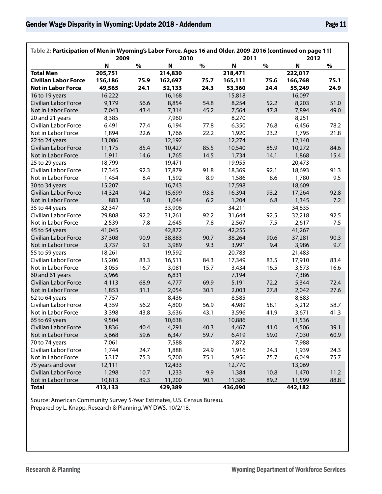| Table 2: Participation of Men in Wyoming's Labor Force, Ages 16 and Older, 2009-2016 (continued on page 11) |         |      |         |      |         |      |         |      |  |
|-------------------------------------------------------------------------------------------------------------|---------|------|---------|------|---------|------|---------|------|--|
|                                                                                                             | 2009    |      | 2010    |      | 2011    |      | 2012    |      |  |
|                                                                                                             | N       | $\%$ | N       | %    | N       | $\%$ | N       | $\%$ |  |
| <b>Total Men</b>                                                                                            | 205,751 |      | 214,830 |      | 218,471 |      | 222,017 |      |  |
| <b>Civilian Labor Force</b>                                                                                 | 156,186 | 75.9 | 162,697 | 75.7 | 165,111 | 75.6 | 166,768 | 75.1 |  |
| <b>Not in Labor Force</b>                                                                                   | 49,565  | 24.1 | 52,133  | 24.3 | 53,360  | 24.4 | 55,249  | 24.9 |  |
| 16 to 19 years                                                                                              | 16,222  |      | 16,168  |      | 15,818  |      | 16,097  |      |  |
| Civilian Labor Force                                                                                        | 9,179   | 56.6 | 8,854   | 54.8 | 8,254   | 52.2 | 8,203   | 51.0 |  |
| Not in Labor Force                                                                                          | 7,043   | 43.4 | 7,314   | 45.2 | 7,564   | 47.8 | 7,894   | 49.0 |  |
| 20 and 21 years                                                                                             | 8,385   |      | 7,960   |      | 8,270   |      | 8,251   |      |  |
| Civilian Labor Force                                                                                        | 6,491   | 77.4 | 6,194   | 77.8 | 6,350   | 76.8 | 6,456   | 78.2 |  |
| Not in Labor Force                                                                                          | 1,894   | 22.6 | 1,766   | 22.2 | 1,920   | 23.2 | 1,795   | 21.8 |  |
| 22 to 24 years                                                                                              | 13,086  |      | 12,192  |      | 12,274  |      | 12,140  |      |  |
| Civilian Labor Force                                                                                        | 11,175  | 85.4 | 10,427  | 85.5 | 10,540  | 85.9 | 10,272  | 84.6 |  |
| Not in Labor Force                                                                                          | 1,911   | 14.6 | 1,765   | 14.5 | 1,734   | 14.1 | 1,868   | 15.4 |  |
| 25 to 29 years                                                                                              | 18,799  |      | 19,471  |      | 19,955  |      | 20,473  |      |  |
| Civilian Labor Force                                                                                        | 17,345  | 92.3 | 17,879  | 91.8 | 18,369  | 92.1 | 18,693  | 91.3 |  |
| Not in Labor Force                                                                                          | 1,454   | 8.4  | 1,592   | 8.9  | 1,586   | 8.6  | 1,780   | 9.5  |  |
| 30 to 34 years                                                                                              | 15,207  |      | 16,743  |      | 17,598  |      | 18,609  |      |  |
| Civilian Labor Force                                                                                        | 14,324  | 94.2 | 15,699  | 93.8 | 16,394  | 93.2 | 17,264  | 92.8 |  |
| Not in Labor Force                                                                                          | 883     | 5.8  | 1,044   | 6.2  | 1,204   | 6.8  | 1,345   | 7.2  |  |
| 35 to 44 years                                                                                              | 32,347  |      | 33,906  |      | 34,211  |      | 34,835  |      |  |
| Civilian Labor Force                                                                                        | 29,808  | 92.2 | 31,261  | 92.2 | 31,644  | 92.5 | 32,218  | 92.5 |  |
| Not in Labor Force                                                                                          | 2,539   | 7.8  | 2,645   | 7.8  | 2,567   | 7.5  | 2,617   | 7.5  |  |
| 45 to 54 years                                                                                              | 41,045  |      | 42,872  |      | 42,255  |      | 41,267  |      |  |
| Civilian Labor Force                                                                                        | 37,308  | 90.9 | 38,883  | 90.7 | 38,264  | 90.6 | 37,281  | 90.3 |  |
| Not in Labor Force                                                                                          | 3,737   | 9.1  | 3,989   | 9.3  | 3,991   | 9.4  | 3,986   | 9.7  |  |
| 55 to 59 years                                                                                              | 18,261  |      | 19,592  |      | 20,783  |      | 21,483  |      |  |
| Civilian Labor Force                                                                                        | 15,206  | 83.3 | 16,511  | 84.3 | 17,349  | 83.5 | 17,910  | 83.4 |  |
| Not in Labor Force                                                                                          | 3,055   | 16.7 | 3,081   | 15.7 | 3,434   | 16.5 | 3,573   | 16.6 |  |
| 60 and 61 years                                                                                             | 5,966   |      | 6,831   |      | 7,194   |      | 7,386   |      |  |
| Civilian Labor Force                                                                                        | 4,113   | 68.9 | 4,777   | 69.9 | 5,191   | 72.2 | 5,344   | 72.4 |  |
| Not in Labor Force                                                                                          | 1,853   | 31.1 | 2,054   | 30.1 | 2,003   | 27.8 | 2,042   | 27.6 |  |
| 62 to 64 years                                                                                              | 7,757   |      | 8,436   |      | 8,585   |      | 8,883   |      |  |
| Civilian Labor Force                                                                                        | 4,359   | 56.2 | 4,800   | 56.9 | 4,989   | 58.1 | 5,212   | 58.7 |  |
| Not in Labor Force                                                                                          | 3,398   | 43.8 | 3,636   | 43.1 | 3,596   | 41.9 | 3,671   | 41.3 |  |
| 65 to 69 years                                                                                              | 9,504   |      | 10,638  |      | 10,886  |      | 11,536  |      |  |
| Civilian Labor Force                                                                                        | 3,836   | 40.4 | 4,291   | 40.3 | 4,467   | 41.0 | 4,506   | 39.1 |  |
| Not in Labor Force                                                                                          | 5,668   | 59.6 | 6,347   | 59.7 | 6,419   | 59.0 | 7,030   | 60.9 |  |
| 70 to 74 years                                                                                              | 7,061   |      | 7,588   |      | 7,872   |      | 7,988   |      |  |
| Civilian Labor Force                                                                                        | 1,744   | 24.7 | 1,888   | 24.9 | 1,916   | 24.3 | 1,939   | 24.3 |  |
| Not in Labor Force                                                                                          | 5,317   | 75.3 | 5,700   | 75.1 | 5,956   | 75.7 | 6,049   | 75.7 |  |
| 75 years and over                                                                                           | 12,111  |      | 12,433  |      | 12,770  |      | 13,069  |      |  |
| Civilian Labor Force                                                                                        | 1,298   | 10.7 | 1,233   | 9.9  | 1,384   | 10.8 | 1,470   | 11.2 |  |
| Not in Labor Force                                                                                          | 10,813  | 89.3 | 11,200  | 90.1 | 11,386  | 89.2 | 11,599  | 88.8 |  |
| <b>Total</b>                                                                                                | 413,133 |      | 429,389 |      | 436,090 |      | 442,182 |      |  |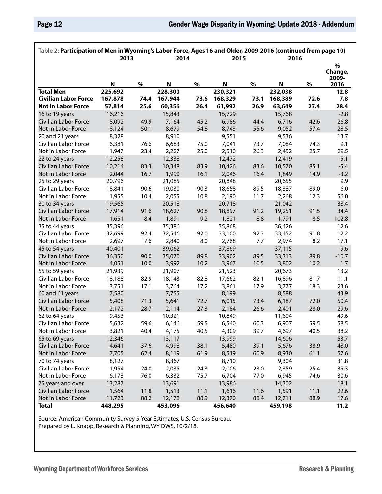|                             | 2013    | Table 2: Participation of Men in Wyoming's Labor Force, Ages 16 and Older, 2009-2016 (continued from page 10)<br>2014<br>2015 |         |      | 2016    |      |         |      |                                  |
|-----------------------------|---------|-------------------------------------------------------------------------------------------------------------------------------|---------|------|---------|------|---------|------|----------------------------------|
|                             | N       | $\%$                                                                                                                          | N       | $\%$ | N       | $\%$ | N       | $\%$ | $\%$<br>Change,<br>2009-<br>2016 |
| <b>Total Men</b>            | 225,692 |                                                                                                                               | 228,300 |      | 230,321 |      | 232,038 |      | 12.8                             |
| <b>Civilian Labor Force</b> | 167,878 | 74.4                                                                                                                          | 167,944 | 73.6 | 168,329 | 73.1 | 168,389 | 72.6 | 7.8                              |
| <b>Not in Labor Force</b>   | 57,814  | 25.6                                                                                                                          | 60,356  | 26.4 | 61,992  | 26.9 | 63,649  | 27.4 | 28.4                             |
| 16 to 19 years              | 16,216  |                                                                                                                               | 15,843  |      | 15,729  |      | 15,768  |      | $-2.8$                           |
| Civilian Labor Force        | 8,092   | 49.9                                                                                                                          | 7,164   | 45.2 | 6,986   | 44.4 | 6,716   | 42.6 | $-26.8$                          |
| Not in Labor Force          | 8,124   | 50.1                                                                                                                          | 8,679   | 54.8 | 8,743   | 55.6 | 9,052   | 57.4 | 28.5                             |
| 20 and 21 years             | 8,328   |                                                                                                                               | 8,910   |      | 9,551   |      | 9,536   |      | 13.7                             |
| Civilian Labor Force        | 6,381   | 76.6                                                                                                                          | 6,683   | 75.0 | 7,041   | 73.7 | 7,084   | 74.3 | 9.1                              |
| Not in Labor Force          | 1,947   | 23.4                                                                                                                          | 2,227   | 25.0 | 2,510   | 26.3 | 2,452   | 25.7 | 29.5                             |
| 22 to 24 years              | 12,258  |                                                                                                                               | 12,338  |      | 12,472  |      | 12,419  |      | $-5.1$                           |
| Civilian Labor Force        | 10,214  | 83.3                                                                                                                          | 10,348  | 83.9 | 10,426  | 83.6 | 10,570  | 85.1 | $-5.4$                           |
| Not in Labor Force          | 2,044   | 16.7                                                                                                                          | 1,990   | 16.1 | 2,046   | 16.4 | 1,849   | 14.9 | $-3.2$                           |
| 25 to 29 years              | 20,796  |                                                                                                                               | 21,085  |      | 20,848  |      | 20,655  |      | 9.9                              |
| Civilian Labor Force        | 18,841  | 90.6                                                                                                                          | 19,030  | 90.3 | 18,658  | 89.5 | 18,387  | 89.0 | 6.0                              |
| Not in Labor Force          | 1,955   | 10.4                                                                                                                          | 2,055   | 10.8 | 2,190   | 11.7 | 2,268   | 12.3 | 56.0                             |
| 30 to 34 years              | 19,565  |                                                                                                                               | 20,518  |      | 20,718  |      | 21,042  |      | 38.4                             |
| Civilian Labor Force        | 17,914  | 91.6                                                                                                                          | 18,627  | 90.8 | 18,897  | 91.2 | 19,251  | 91.5 | 34.4                             |
| Not in Labor Force          | 1,651   | 8.4                                                                                                                           | 1,891   | 9.2  | 1,821   | 8.8  | 1,791   | 8.5  | 102.8                            |
| 35 to 44 years              | 35,396  |                                                                                                                               | 35,386  |      | 35,868  |      | 36,426  |      | 12.6                             |
| Civilian Labor Force        | 32,699  | 92.4                                                                                                                          | 32,546  | 92.0 | 33,100  | 92.3 | 33,452  | 91.8 | 12.2                             |
| Not in Labor Force          | 2,697   | 7.6                                                                                                                           | 2,840   | 8.0  | 2,768   | 7.7  | 2,974   | 8.2  | 17.1                             |
| 45 to 54 years              | 40,401  |                                                                                                                               | 39,062  |      | 37,869  |      | 37,115  |      | $-9.6$                           |
| Civilian Labor Force        | 36,350  | 90.0                                                                                                                          | 35,070  | 89.8 | 33,902  | 89.5 | 33,313  | 89.8 | $-10.7$                          |
| Not in Labor Force          | 4,051   | 10.0                                                                                                                          | 3,992   | 10.2 | 3,967   | 10.5 | 3,802   | 10.2 | 1.7                              |
| 55 to 59 years              | 21,939  |                                                                                                                               | 21,907  |      | 21,523  |      | 20,673  |      | 13.2                             |
| Civilian Labor Force        | 18,188  | 82.9                                                                                                                          | 18,143  | 82.8 | 17,662  | 82.1 | 16,896  | 81.7 | 11.1                             |
| Not in Labor Force          | 3,751   | 17.1                                                                                                                          | 3,764   | 17.2 | 3,861   | 17.9 | 3,777   | 18.3 | 23.6                             |
| 60 and 61 years             | 7,580   |                                                                                                                               | 7,755   |      | 8,199   |      | 8,588   |      | 43.9                             |
| Civilian Labor Force        | 5,408   | 71.3                                                                                                                          | 5,641   | 72.7 | 6,015   | 73.4 | 6,187   | 72.0 | 50.4                             |
| Not in Labor Force          | 2,172   | 28.7                                                                                                                          | 2,114   | 27.3 | 2,184   | 26.6 | 2,401   | 28.0 | 29.6                             |
| 62 to 64 years              | 9,453   |                                                                                                                               | 10,321  |      | 10,849  |      | 11,604  |      | 49.6                             |
| Civilian Labor Force        | 5,632   | 59.6                                                                                                                          | 6,146   | 59.5 | 6,540   | 60.3 | 6,907   | 59.5 | 58.5                             |
| Not in Labor Force          | 3,821   | 40.4                                                                                                                          | 4,175   | 40.5 | 4,309   | 39.7 | 4,697   | 40.5 | 38.2                             |
| 65 to 69 years              | 12,346  |                                                                                                                               | 13,117  |      | 13,999  |      | 14,606  |      | 53.7                             |
| Civilian Labor Force        | 4,641   | 37.6                                                                                                                          | 4,998   | 38.1 | 5,480   | 39.1 | 5,676   | 38.9 | 48.0                             |
| Not in Labor Force          | 7,705   | 62.4                                                                                                                          | 8,119   | 61.9 | 8,519   | 60.9 | 8,930   | 61.1 | 57.6                             |
| 70 to 74 years              | 8,127   |                                                                                                                               | 8,367   |      | 8,710   |      | 9,304   |      | 31.8                             |
| Civilian Labor Force        | 1,954   | 24.0                                                                                                                          | 2,035   | 24.3 | 2,006   | 23.0 | 2,359   | 25.4 | 35.3                             |
| Not in Labor Force          | 6,173   | 76.0                                                                                                                          | 6,332   | 75.7 | 6,704   | 77.0 | 6,945   | 74.6 | 30.6                             |
| 75 years and over           | 13,287  |                                                                                                                               | 13,691  |      | 13,986  |      | 14,302  |      | 18.1                             |
| Civilian Labor Force        | 1,564   | 11.8                                                                                                                          | 1,513   | 11.1 | 1,616   | 11.6 | 1,591   | 11.1 | 22.6                             |
| Not in Labor Force          | 11,723  | 88.2                                                                                                                          | 12,178  | 88.9 | 12,370  | 88.4 | 12,711  | 88.9 | 17.6                             |
| <b>Total</b>                | 448,295 |                                                                                                                               | 453,096 |      | 456,640 |      | 459,198 |      | 11.2                             |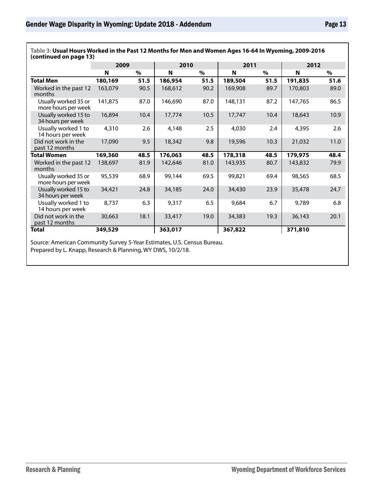| (continued on page 13)                      |         |      |         |      |         |      |         |      |
|---------------------------------------------|---------|------|---------|------|---------|------|---------|------|
|                                             | 2009    |      | 2010    |      | 2011    |      | 2012    |      |
|                                             | N       | $\%$ | N       | $\%$ | N       | $\%$ | N       | $\%$ |
| <b>Total Men</b>                            | 180,169 | 51.5 | 186,954 | 51.5 | 189,504 | 51.5 | 191,835 | 51.6 |
| Worked in the past 12<br>months             | 163,079 | 90.5 | 168,612 | 90.2 | 169,908 | 89.7 | 170,803 | 89.0 |
| Usually worked 35 or<br>more hours per week | 141,875 | 87.0 | 146,690 | 87.0 | 148,131 | 87.2 | 147,765 | 86.5 |
| Usually worked 15 to<br>34 hours per week   | 16,894  | 10.4 | 17,774  | 10.5 | 17,747  | 10.4 | 18,643  | 10.9 |
| Usually worked 1 to<br>14 hours per week    | 4,310   | 2.6  | 4,148   | 2.5  | 4,030   | 2.4  | 4,395   | 2.6  |
| Did not work in the<br>past 12 months       | 17,090  | 9.5  | 18,342  | 9.8  | 19,596  | 10.3 | 21,032  | 11.0 |
| <b>Total Women</b>                          | 169,360 | 48.5 | 176,063 | 48.5 | 178,318 | 48.5 | 179,975 | 48.4 |
| Worked in the past 12<br>months             | 138,697 | 81.9 | 142,646 | 81.0 | 143,935 | 80.7 | 143,832 | 79.9 |
| Usually worked 35 or<br>more hours per week | 95,539  | 68.9 | 99,144  | 69.5 | 99,821  | 69.4 | 98,565  | 68.5 |
| Usually worked 15 to<br>34 hours per week   | 34,421  | 24.8 | 34,185  | 24.0 | 34,430  | 23.9 | 35,478  | 24.7 |
| Usually worked 1 to<br>14 hours per week    | 8,737   | 6.3  | 9,317   | 6.5  | 9,684   | 6.7  | 9,789   | 6.8  |
| Did not work in the<br>past 12 months       | 30,663  | 18.1 | 33,417  | 19.0 | 34,383  | 19.3 | 36,143  | 20.1 |
| <b>Total</b>                                | 349,529 |      | 363,017 |      | 367,822 |      | 371,810 |      |

**Table 3: Usual Hours Worked in the Past 12 Months for Men and Women Ages 16-64 In Wyoming, 2009-2016 (continued on page 13)**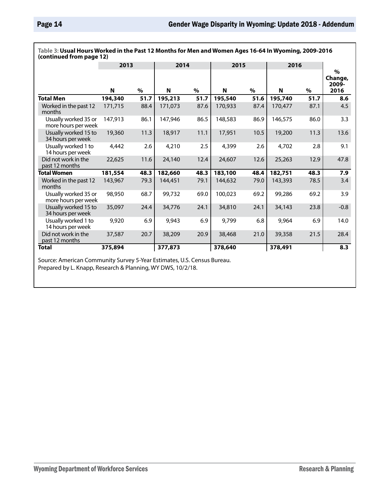| (continued from page 12)                    |         |      |         |      |         |      |         |      |                                  |  |
|---------------------------------------------|---------|------|---------|------|---------|------|---------|------|----------------------------------|--|
|                                             | 2013    |      | 2014    |      | 2015    |      | 2016    |      |                                  |  |
|                                             | N       | $\%$ | N       | $\%$ | N       | $\%$ | N       | $\%$ | $\%$<br>Change,<br>2009-<br>2016 |  |
| <b>Total Men</b>                            | 194,340 | 51.7 | 195,213 | 51.7 | 195,540 | 51.6 | 195,740 | 51.7 | 8.6                              |  |
| Worked in the past 12<br>months             | 171,715 | 88.4 | 171,073 | 87.6 | 170,933 | 87.4 | 170,477 | 87.1 | 4.5                              |  |
| Usually worked 35 or<br>more hours per week | 147,913 | 86.1 | 147,946 | 86.5 | 148,583 | 86.9 | 146,575 | 86.0 | 3.3                              |  |
| Usually worked 15 to<br>34 hours per week   | 19,360  | 11.3 | 18,917  | 11.1 | 17,951  | 10.5 | 19,200  | 11.3 | 13.6                             |  |
| Usually worked 1 to<br>14 hours per week    | 4,442   | 2.6  | 4,210   | 2.5  | 4,399   | 2.6  | 4,702   | 2.8  | 9.1                              |  |
| Did not work in the<br>past 12 months       | 22,625  | 11.6 | 24,140  | 12.4 | 24,607  | 12.6 | 25,263  | 12.9 | 47.8                             |  |
| <b>Total Women</b>                          | 181,554 | 48.3 | 182,660 | 48.3 | 183,100 | 48.4 | 182,751 | 48.3 | 7.9                              |  |
| Worked in the past 12<br>months             | 143,967 | 79.3 | 144,451 | 79.1 | 144,632 | 79.0 | 143,393 | 78.5 | 3.4                              |  |
| Usually worked 35 or<br>more hours per week | 98,950  | 68.7 | 99,732  | 69.0 | 100,023 | 69.2 | 99,286  | 69.2 | 3.9                              |  |
| Usually worked 15 to<br>34 hours per week   | 35,097  | 24.4 | 34,776  | 24.1 | 34,810  | 24.1 | 34,143  | 23.8 | $-0.8$                           |  |
| Usually worked 1 to<br>14 hours per week    | 9,920   | 6.9  | 9,943   | 6.9  | 9,799   | 6.8  | 9,964   | 6.9  | 14.0                             |  |
| Did not work in the<br>past 12 months       | 37,587  | 20.7 | 38,209  | 20.9 | 38,468  | 21.0 | 39,358  | 21.5 | 28.4                             |  |
| <b>Total</b>                                | 375,894 |      | 377,873 |      | 378,640 |      | 378,491 |      | 8.3                              |  |

| Table 3: Usual Hours Worked in the Past 12 Months for Men and Women Ages 16-64 In Wyoming, 2009-2016 |  |
|------------------------------------------------------------------------------------------------------|--|
| (continued from page 12)                                                                             |  |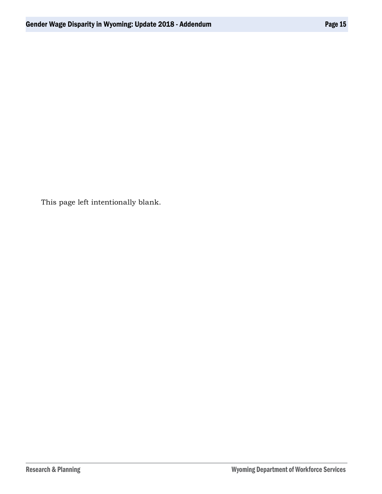This page left intentionally blank.